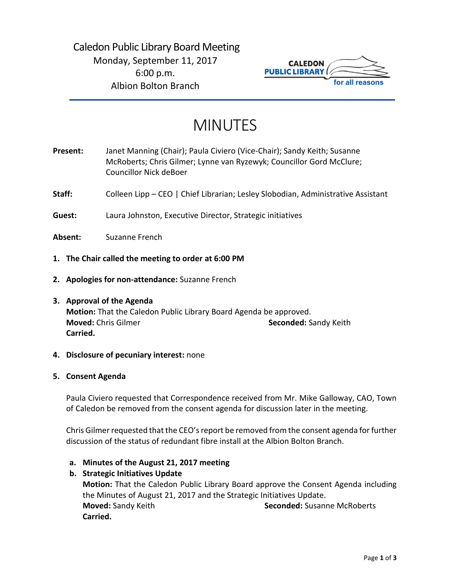# Caledon Public Library Board Meeting Monday, September 11, 2017 6:00 p.m. Albion Bolton Branch



# MINUTES

- **Present:** Janet Manning (Chair); Paula Civiero (Vice-Chair); Sandy Keith; Susanne McRoberts; Chris Gilmer; Lynne van Ryzewyk; Councillor Gord McClure; Councillor Nick deBoer Staff: Colleen Lipp – CEO | Chief Librarian; Lesley Slobodian, Administrative Assistant **Guest:** Laura Johnston, Executive Director, Strategic initiatives **Absent:** Suzanne French **1. The Chair called the meeting to order at 6:00 PM**
- 
- **2. Apologies for non-attendance:** Suzanne French

# **3. Approval of the Agenda**

**Motion:** That the Caledon Public Library Board Agenda be approved. **Moved:** Chris Gilmer **Seconded: Sandy Keith Seconded: Sandy Keith Carried.**

# **4. Disclosure of pecuniary interest:** none

# **5. Consent Agenda**

Paula Civiero requested that Correspondence received from Mr. Mike Galloway, CAO, Town of Caledon be removed from the consent agenda for discussion later in the meeting.

Chris Gilmer requested that the CEO's report be removed from the consent agenda for further discussion of the status of redundant fibre install at the Albion Bolton Branch.

**a. Minutes of the August 21, 2017 meeting** 

# **b. Strategic Initiatives Update**

**Motion:** That the Caledon Public Library Board approve the Consent Agenda including the Minutes of August 21, 2017 and the Strategic Initiatives Update. **Moved:** Sandy Keith **Seconded:** Susanne McRoberts **Carried.**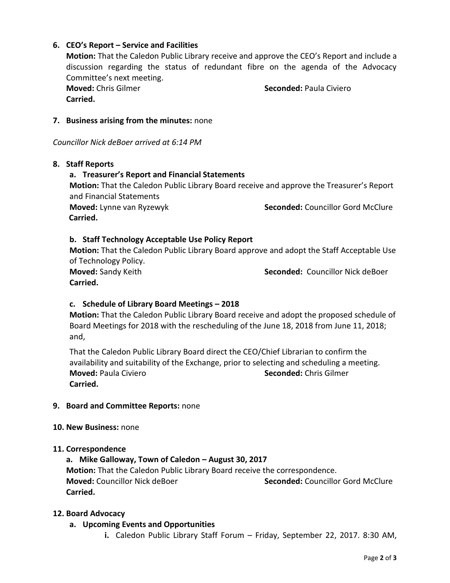# **6. CEO's Report – Service and Facilities**

**Motion:** That the Caledon Public Library receive and approve the CEO's Report and include a discussion regarding the status of redundant fibre on the agenda of the Advocacy Committee's next meeting.

**Carried.** 

**Moved:** Chris Gilmer **Seconded:** Paula Civiero

#### **7. Business arising from the minutes:** none

*Councillor Nick deBoer arrived at 6:14 PM*

#### **8. Staff Reports**

# **a. Treasurer's Report and Financial Statements Motion:** That the Caledon Public Library Board receive and approve the Treasurer's Report and Financial Statements **Moved:** Lynne van Ryzewyk **Seconded:** Councillor Gord McClure  **Carried.**

# **b. Staff Technology Acceptable Use Policy Report**

**Motion:** That the Caledon Public Library Board approve and adopt the Staff Acceptable Use of Technology Policy. **Moved:** Sandy Keith **Seconded:** Councillor Nick deBoer

**Carried.** 

#### **c. Schedule of Library Board Meetings – 2018**

**Motion:** That the Caledon Public Library Board receive and adopt the proposed schedule of Board Meetings for 2018 with the rescheduling of the June 18, 2018 from June 11, 2018; and,

That the Caledon Public Library Board direct the CEO/Chief Librarian to confirm the availability and suitability of the Exchange, prior to selecting and scheduling a meeting. **Moved:** Paula Civiero **Seconded:** Chris Gilmer **Carried.** 

#### **9. Board and Committee Reports:** none

#### **10. New Business:** none

#### **11. Correspondence**

# **a. Mike Galloway, Town of Caledon – August 30, 2017**

**Motion:** That the Caledon Public Library Board receive the correspondence. **Moved:** Councillor Nick deBoer **Seconded:** Councillor Gord McClure **Carried.** 

#### **12. Board Advocacy**

- **a. Upcoming Events and Opportunities**
	- **i.** Caledon Public Library Staff Forum Friday, September 22, 2017. 8:30 AM,